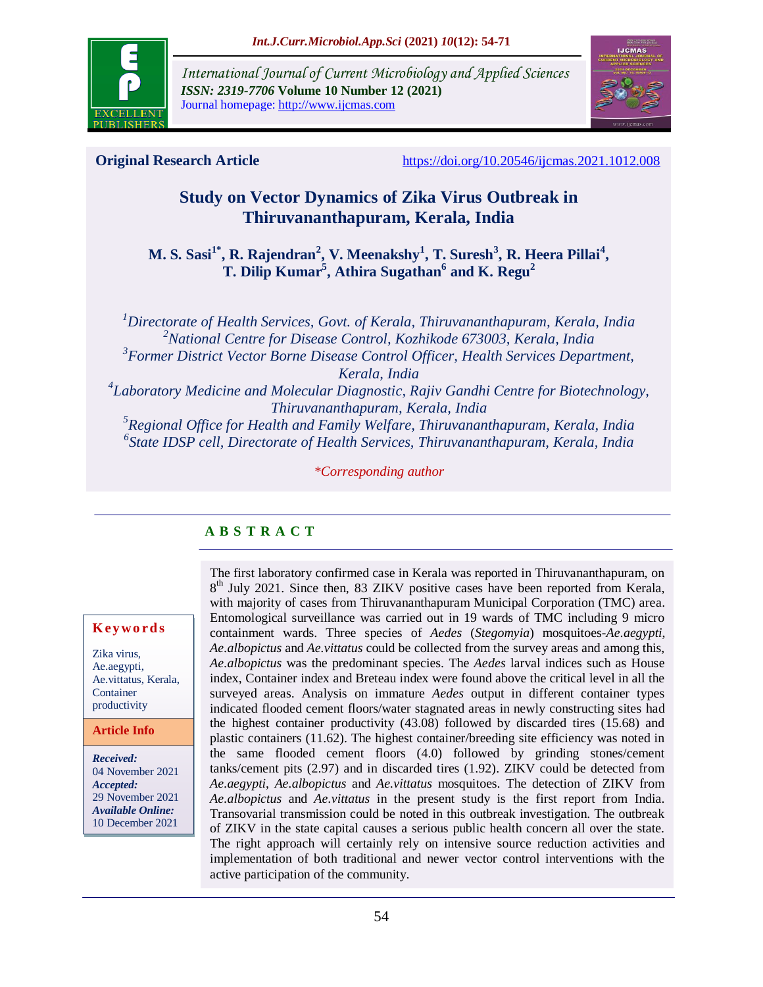

*International Journal of Current Microbiology and Applied Sciences ISSN: 2319-7706* **Volume 10 Number 12 (2021)**  Journal homepage: http://www.ijcmas.com



**Original Research Article** <https://doi.org/10.20546/ijcmas.2021.1012.008>

# **Study on Vector Dynamics of Zika Virus Outbreak in Thiruvananthapuram, Kerala, India**

**M. S. Sasi1\*, R. Rajendran<sup>2</sup> , V. Meenakshy<sup>1</sup> , T. Suresh<sup>3</sup> , R. Heera Pillai<sup>4</sup> , T. Dilip Kumar<sup>5</sup> , Athira Sugathan<sup>6</sup> and K. Regu<sup>2</sup>**

*Directorate of Health Services, Govt. of Kerala, Thiruvananthapuram, Kerala, India National Centre for Disease Control, Kozhikode 673003, Kerala, India Former District Vector Borne Disease Control Officer, Health Services Department, Kerala, India Laboratory Medicine and Molecular Diagnostic, Rajiv Gandhi Centre for Biotechnology, Thiruvananthapuram, Kerala, India Regional Office for Health and Family Welfare, Thiruvananthapuram, Kerala, India State IDSP cell, Directorate of Health Services, Thiruvananthapuram, Kerala, India*

*\*Corresponding author*

# **A B S T R A C T**

#### **K ey w o rd s**

Zika virus, Ae.aegypti, Ae.vittatus, Kerala, Container productivity

**Article Info**

*Received:*  04 November 2021 *Accepted:*  29 November 2021 *Available Online:* 10 December 2021

The first laboratory confirmed case in Kerala was reported in Thiruvananthapuram, on 8<sup>th</sup> July 2021. Since then, 83 ZIKV positive cases have been reported from Kerala, with majority of cases from Thiruvananthapuram Municipal Corporation (TMC) area. Entomological surveillance was carried out in 19 wards of TMC including 9 micro containment wards. Three species of *Aedes* (*Stegomyia*) mosquitoes-*Ae.aegypti*, *Ae.albopictus* and *Ae.vittatus* could be collected from the survey areas and among this, *Ae.albopictus* was the predominant species. The *Aedes* larval indices such as House index, Container index and Breteau index were found above the critical level in all the surveyed areas. Analysis on immature *Aedes* output in different container types indicated flooded cement floors/water stagnated areas in newly constructing sites had the highest container productivity (43.08) followed by discarded tires (15.68) and plastic containers (11.62). The highest container/breeding site efficiency was noted in the same flooded cement floors (4.0) followed by grinding stones/cement tanks/cement pits (2.97) and in discarded tires (1.92). ZIKV could be detected from *Ae.aegypti*, *Ae.albopictus* and *Ae.vittatus* mosquitoes. The detection of ZIKV from *Ae.albopictus* and *Ae.vittatus* in the present study is the first report from India. Transovarial transmission could be noted in this outbreak investigation. The outbreak of ZIKV in the state capital causes a serious public health concern all over the state. The right approach will certainly rely on intensive source reduction activities and implementation of both traditional and newer vector control interventions with the active participation of the community.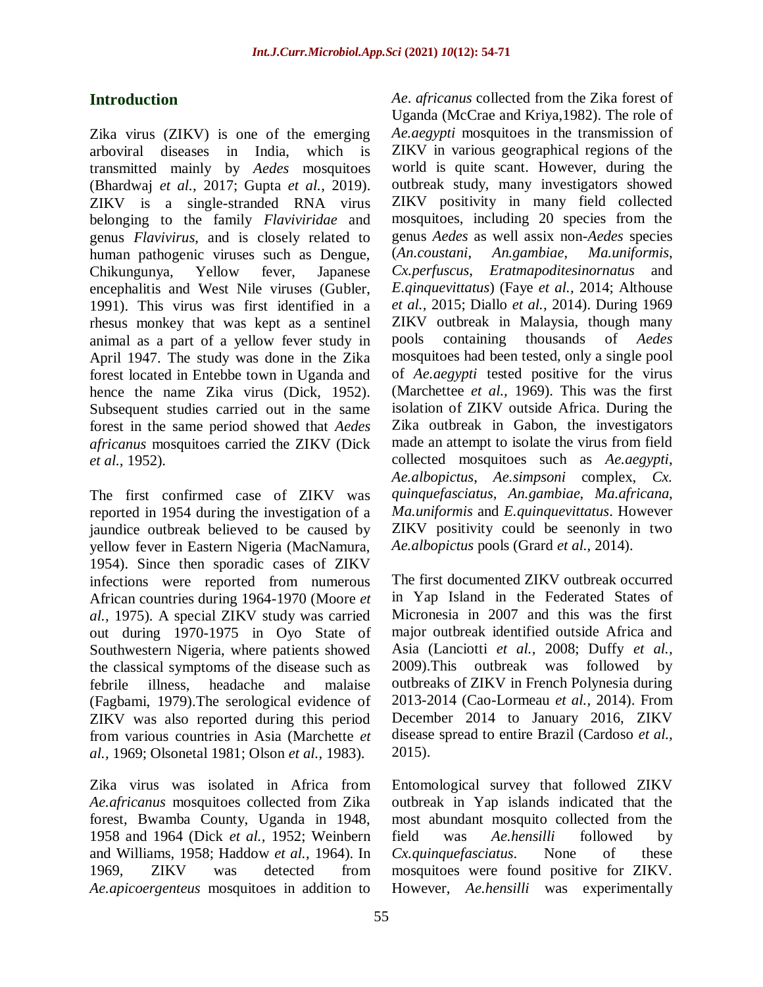# **Introduction**

Zika virus (ZIKV) is one of the emerging arboviral diseases in India, which is transmitted mainly by *Aedes* mosquitoes (Bhardwaj *et al.,* 2017; Gupta *et al.,* 2019). ZIKV is a single-stranded RNA virus belonging to the family *Flaviviridae* and genus *Flavivirus*, and is closely related to human pathogenic viruses such as Dengue, Chikungunya, Yellow fever, Japanese encephalitis and West Nile viruses (Gubler, 1991). This virus was first identified in a rhesus monkey that was kept as a sentinel animal as a part of a yellow fever study in April 1947. The study was done in the Zika forest located in Entebbe town in Uganda and hence the name Zika virus (Dick, 1952). Subsequent studies carried out in the same forest in the same period showed that *Aedes africanus* mosquitoes carried the ZIKV (Dick *et al.,* 1952).

The first confirmed case of ZIKV was reported in 1954 during the investigation of a jaundice outbreak believed to be caused by yellow fever in Eastern Nigeria (MacNamura, 1954). Since then sporadic cases of ZIKV infections were reported from numerous African countries during 1964-1970 (Moore *et al.,* 1975). A special ZIKV study was carried out during 1970-1975 in Oyo State of Southwestern Nigeria, where patients showed the classical symptoms of the disease such as febrile illness, headache and malaise (Fagbami, 1979).The serological evidence of ZIKV was also reported during this period from various countries in Asia (Marchette *et al.,* 1969; Olsonetal 1981; Olson *et al.,* 1983).

Zika virus was isolated in Africa from *Ae.africanus* mosquitoes collected from Zika forest, Bwamba County, Uganda in 1948, 1958 and 1964 (Dick *et al.,* 1952; Weinbern and Williams, 1958; Haddow *et al.,* 1964). In 1969, ZIKV was detected from *Ae.apicoergenteus* mosquitoes in addition to

*Ae*. *africanus* collected from the Zika forest of Uganda (McCrae and Kriya,1982). The role of *Ae.aegypti* mosquitoes in the transmission of ZIKV in various geographical regions of the world is quite scant. However, during the outbreak study, many investigators showed ZIKV positivity in many field collected mosquitoes, including 20 species from the genus *Aedes* as well assix non-*Aedes* species (*An.coustani*, *An.gambiae*, *Ma.uniformis*, *Cx.perfuscus*, *Eratmapoditesinornatus* and *E.qinquevittatus*) (Faye *et al.,* 2014; Althouse *et al.,* 2015; Diallo *et al.,* 2014). During 1969 ZIKV outbreak in Malaysia, though many pools containing thousands of *Aedes* mosquitoes had been tested, only a single pool of *Ae.aegypti* tested positive for the virus (Marchettee *et al.,* 1969). This was the first isolation of ZIKV outside Africa. During the Zika outbreak in Gabon, the investigators made an attempt to isolate the virus from field collected mosquitoes such as *Ae.aegypti*, *Ae.albopictus*, *Ae.simpsoni* complex, *Cx. quinquefasciatus*, *An.gambiae*, *Ma.africana*, *Ma.uniformis* and *E.quinquevittatus*. However ZIKV positivity could be seenonly in two *Ae.albopictus* pools (Grard *et al.,* 2014).

The first documented ZIKV outbreak occurred in Yap Island in the Federated States of Micronesia in 2007 and this was the first major outbreak identified outside Africa and Asia (Lanciotti *et al.,* 2008; Duffy *et al.,* 2009).This outbreak was followed by outbreaks of ZIKV in French Polynesia during 2013-2014 (Cao-Lormeau *et al.,* 2014). From December 2014 to January 2016, ZIKV disease spread to entire Brazil (Cardoso *et al.,* 2015).

Entomological survey that followed ZIKV outbreak in Yap islands indicated that the most abundant mosquito collected from the field was *Ae.hensilli* followed by *Cx.quinquefasciatus*. None of these mosquitoes were found positive for ZIKV. However, *Ae.hensilli* was experimentally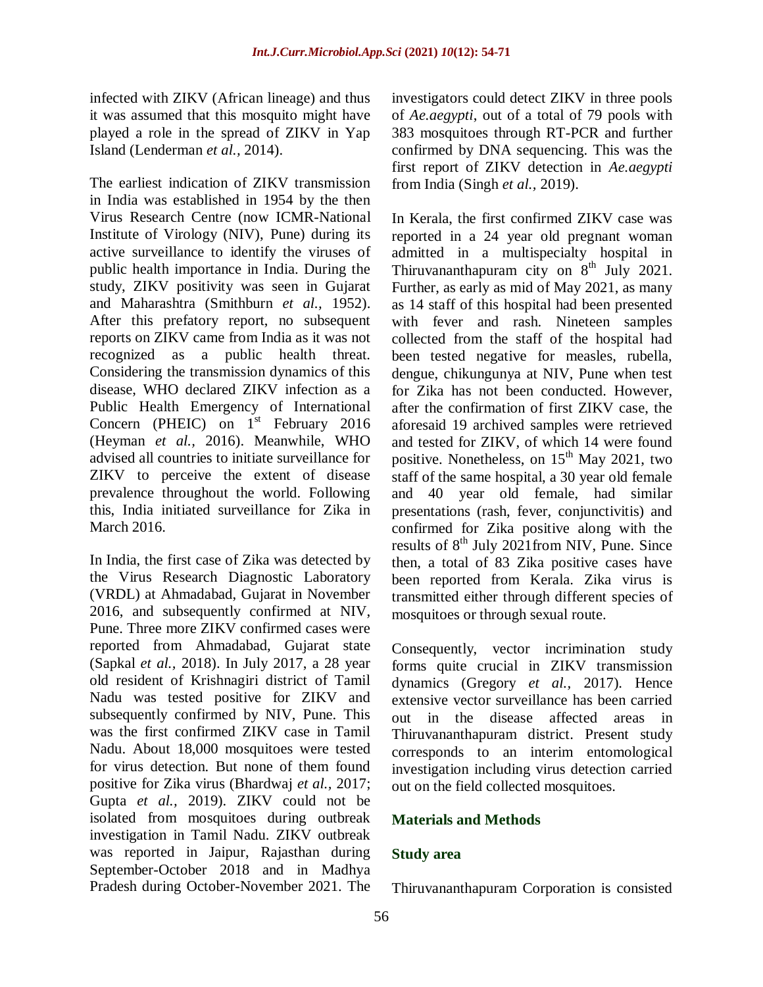infected with ZIKV (African lineage) and thus it was assumed that this mosquito might have played a role in the spread of ZIKV in Yap Island (Lenderman *et al.,* 2014).

The earliest indication of ZIKV transmission in India was established in 1954 by the then Virus Research Centre (now ICMR-National Institute of Virology (NIV), Pune) during its active surveillance to identify the viruses of public health importance in India. During the study, ZIKV positivity was seen in Gujarat and Maharashtra (Smithburn *et al.,* 1952). After this prefatory report, no subsequent reports on ZIKV came from India as it was not recognized as a public health threat. Considering the transmission dynamics of this disease, WHO declared ZIKV infection as a Public Health Emergency of International Concern (PHEIC) on  $1^{st}$  February 2016 (Heyman *et al.,* 2016). Meanwhile, WHO advised all countries to initiate surveillance for ZIKV to perceive the extent of disease prevalence throughout the world. Following this, India initiated surveillance for Zika in March 2016.

In India, the first case of Zika was detected by the Virus Research Diagnostic Laboratory (VRDL) at Ahmadabad, Gujarat in November 2016, and subsequently confirmed at NIV, Pune. Three more ZIKV confirmed cases were reported from Ahmadabad, Gujarat state (Sapkal *et al.,* 2018). In July 2017, a 28 year old resident of Krishnagiri district of Tamil Nadu was tested positive for ZIKV and subsequently confirmed by NIV, Pune. This was the first confirmed ZIKV case in Tamil Nadu. About 18,000 mosquitoes were tested for virus detection. But none of them found positive for Zika virus (Bhardwaj *et al.,* 2017; Gupta *et al.,* 2019). ZIKV could not be isolated from mosquitoes during outbreak investigation in Tamil Nadu. ZIKV outbreak was reported in Jaipur, Rajasthan during September-October 2018 and in Madhya Pradesh during October-November 2021. The

investigators could detect ZIKV in three pools of *Ae.aegypti*, out of a total of 79 pools with 383 mosquitoes through RT-PCR and further confirmed by DNA sequencing. This was the first report of ZIKV detection in *Ae.aegypti* from India (Singh *et al.,* 2019).

In Kerala, the first confirmed ZIKV case was reported in a 24 year old pregnant woman admitted in a multispecialty hospital in Thiruvananthapuram city on  $8<sup>th</sup>$  July 2021. Further, as early as mid of May 2021, as many as 14 staff of this hospital had been presented with fever and rash. Nineteen samples collected from the staff of the hospital had been tested negative for measles, rubella, dengue, chikungunya at NIV, Pune when test for Zika has not been conducted. However, after the confirmation of first ZIKV case, the aforesaid 19 archived samples were retrieved and tested for ZIKV, of which 14 were found positive. Nonetheless, on  $15<sup>th</sup>$  May 2021, two staff of the same hospital, a 30 year old female and 40 year old female, had similar presentations (rash, fever, conjunctivitis) and confirmed for Zika positive along with the results of  $8<sup>th</sup>$  July 2021from NIV, Pune. Since then, a total of 83 Zika positive cases have been reported from Kerala. Zika virus is transmitted either through different species of mosquitoes or through sexual route.

Consequently, vector incrimination study forms quite crucial in ZIKV transmission dynamics (Gregory *et al.,* 2017). Hence extensive vector surveillance has been carried out in the disease affected areas in Thiruvananthapuram district. Present study corresponds to an interim entomological investigation including virus detection carried out on the field collected mosquitoes.

## **Materials and Methods**

#### **Study area**

Thiruvananthapuram Corporation is consisted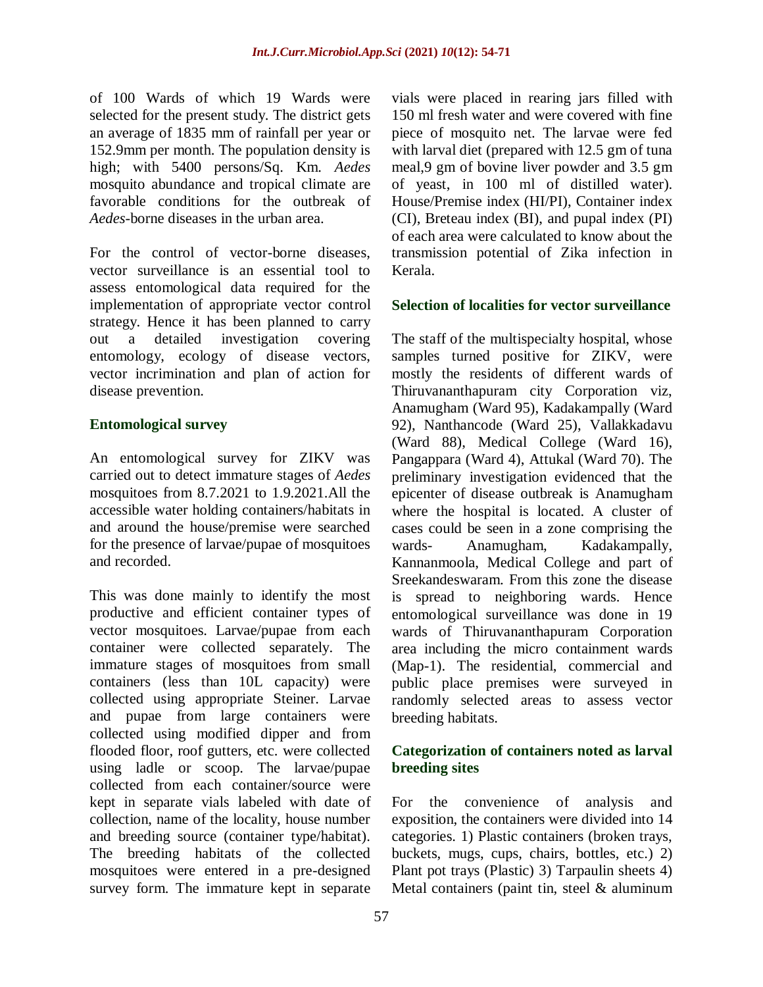of 100 Wards of which 19 Wards were selected for the present study. The district gets an average of 1835 mm of rainfall per year or 152.9mm per month. The population density is high; with 5400 persons/Sq. Km. *Aedes*  mosquito abundance and tropical climate are favorable conditions for the outbreak of *Aedes*-borne diseases in the urban area.

For the control of vector-borne diseases, vector surveillance is an essential tool to assess entomological data required for the implementation of appropriate vector control strategy. Hence it has been planned to carry out a detailed investigation covering entomology, ecology of disease vectors, vector incrimination and plan of action for disease prevention.

## **Entomological survey**

An entomological survey for ZIKV was carried out to detect immature stages of *Aedes* mosquitoes from 8.7.2021 to 1.9.2021.All the accessible water holding containers/habitats in and around the house/premise were searched for the presence of larvae/pupae of mosquitoes and recorded.

This was done mainly to identify the most productive and efficient container types of vector mosquitoes. Larvae/pupae from each container were collected separately. The immature stages of mosquitoes from small containers (less than 10L capacity) were collected using appropriate Steiner. Larvae and pupae from large containers were collected using modified dipper and from flooded floor, roof gutters, etc. were collected using ladle or scoop. The larvae/pupae collected from each container/source were kept in separate vials labeled with date of collection, name of the locality, house number and breeding source (container type/habitat). The breeding habitats of the collected mosquitoes were entered in a pre-designed survey form. The immature kept in separate

vials were placed in rearing jars filled with 150 ml fresh water and were covered with fine piece of mosquito net. The larvae were fed with larval diet (prepared with 12.5 gm of tuna meal,9 gm of bovine liver powder and 3.5 gm of yeast, in 100 ml of distilled water). House/Premise index (HI/PI), Container index (CI), Breteau index (BI), and pupal index (PI) of each area were calculated to know about the transmission potential of Zika infection in Kerala.

#### **Selection of localities for vector surveillance**

The staff of the multispecialty hospital, whose samples turned positive for ZIKV, were mostly the residents of different wards of Thiruvananthapuram city Corporation viz, Anamugham (Ward 95), Kadakampally (Ward 92), Nanthancode (Ward 25), Vallakkadavu (Ward 88), Medical College (Ward 16), Pangappara (Ward 4), Attukal (Ward 70). The preliminary investigation evidenced that the epicenter of disease outbreak is Anamugham where the hospital is located. A cluster of cases could be seen in a zone comprising the wards- Anamugham, Kadakampally, Kannanmoola, Medical College and part of Sreekandeswaram. From this zone the disease is spread to neighboring wards. Hence entomological surveillance was done in 19 wards of Thiruvananthapuram Corporation area including the micro containment wards (Map-1). The residential, commercial and public place premises were surveyed in randomly selected areas to assess vector breeding habitats.

## **Categorization of containers noted as larval breeding sites**

For the convenience of analysis and exposition, the containers were divided into 14 categories. 1) Plastic containers (broken trays, buckets, mugs, cups, chairs, bottles, etc.) 2) Plant pot trays (Plastic) 3) Tarpaulin sheets 4) Metal containers (paint tin, steel & aluminum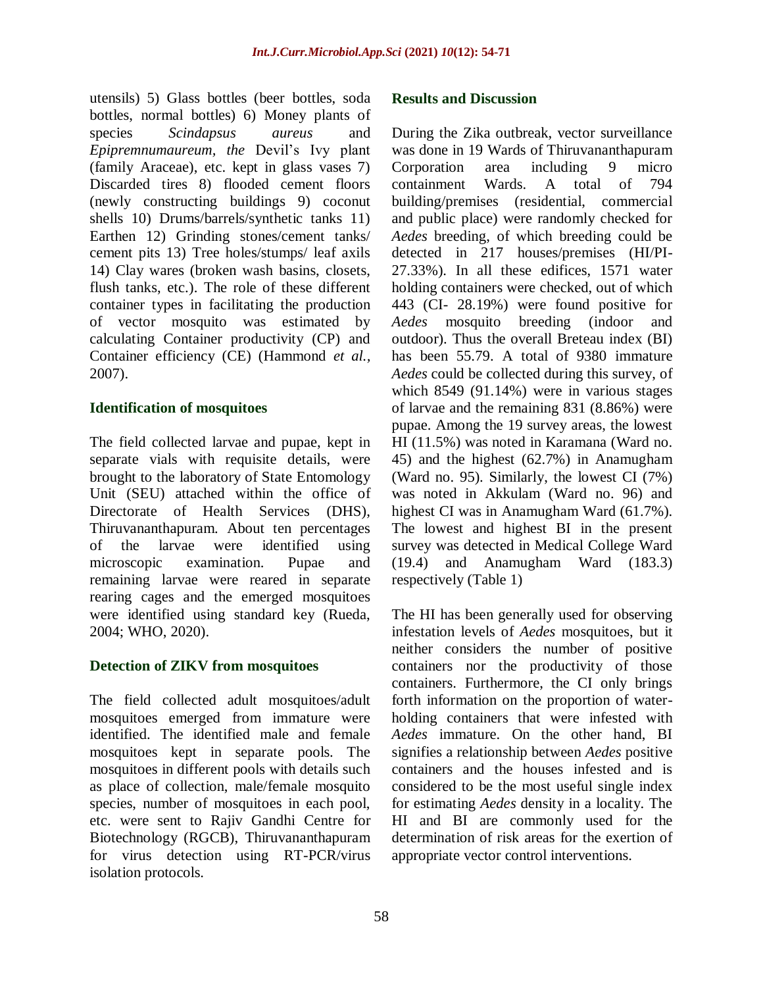utensils) 5) Glass bottles (beer bottles, soda bottles, normal bottles) 6) Money plants of species *Scindapsus aureus* and *Epipremnumaureum, the* Devil's Ivy plant (family Araceae), etc. kept in glass vases 7) Discarded tires 8) flooded cement floors (newly constructing buildings 9) coconut shells 10) Drums/barrels/synthetic tanks 11) Earthen 12) Grinding stones/cement tanks/ cement pits 13) Tree holes/stumps/ leaf axils 14) Clay wares (broken wash basins, closets, flush tanks, etc.). The role of these different container types in facilitating the production of vector mosquito was estimated by calculating Container productivity (CP) and Container efficiency (CE) (Hammond *et al.,* 2007).

#### **Identification of mosquitoes**

The field collected larvae and pupae, kept in separate vials with requisite details, were brought to the laboratory of State Entomology Unit (SEU) attached within the office of Directorate of Health Services (DHS), Thiruvananthapuram. About ten percentages of the larvae were identified using microscopic examination. Pupae and remaining larvae were reared in separate rearing cages and the emerged mosquitoes were identified using standard key (Rueda, 2004; WHO, 2020).

## **Detection of ZIKV from mosquitoes**

The field collected adult mosquitoes/adult mosquitoes emerged from immature were identified. The identified male and female mosquitoes kept in separate pools. The mosquitoes in different pools with details such as place of collection, male/female mosquito species, number of mosquitoes in each pool, etc. were sent to Rajiv Gandhi Centre for Biotechnology (RGCB), Thiruvananthapuram for virus detection using RT-PCR/virus isolation protocols.

#### **Results and Discussion**

During the Zika outbreak, vector surveillance was done in 19 Wards of Thiruvananthapuram Corporation area including 9 micro containment Wards. A total of 794 building/premises (residential, commercial and public place) were randomly checked for *Aedes* breeding, of which breeding could be detected in 217 houses/premises (HI/PI-27.33%). In all these edifices, 1571 water holding containers were checked, out of which 443 (CI- 28.19%) were found positive for *Aedes* mosquito breeding (indoor and outdoor). Thus the overall Breteau index (BI) has been 55.79. A total of 9380 immature *Aedes* could be collected during this survey, of which 8549 (91.14%) were in various stages of larvae and the remaining 831 (8.86%) were pupae. Among the 19 survey areas, the lowest HI (11.5%) was noted in Karamana (Ward no. 45) and the highest (62.7%) in Anamugham (Ward no. 95). Similarly, the lowest CI (7%) was noted in Akkulam (Ward no. 96) and highest CI was in Anamugham Ward (61.7%). The lowest and highest BI in the present survey was detected in Medical College Ward (19.4) and Anamugham Ward (183.3) respectively (Table 1)

The HI has been generally used for observing infestation levels of *Aedes* mosquitoes, but it neither considers the number of positive containers nor the productivity of those containers. Furthermore, the CI only brings forth information on the proportion of waterholding containers that were infested with *Aedes* immature. On the other hand, BI signifies a relationship between *Aedes* positive containers and the houses infested and is considered to be the most useful single index for estimating *Aedes* density in a locality. The HI and BI are commonly used for the determination of risk areas for the exertion of appropriate vector control interventions.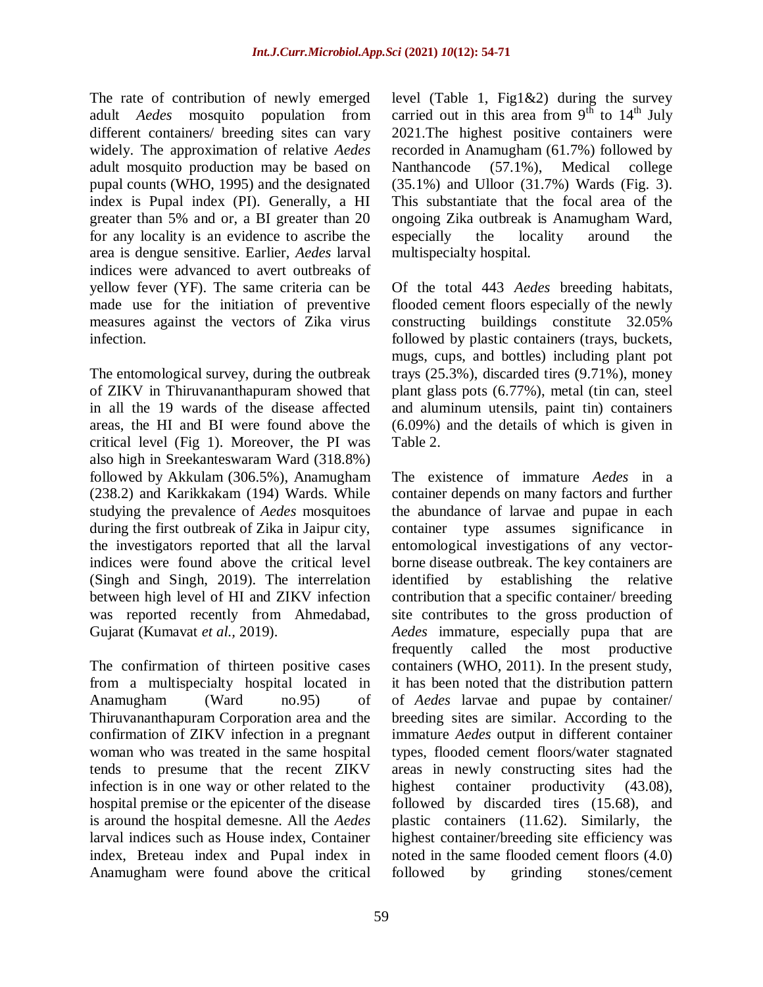The rate of contribution of newly emerged adult *Aedes* mosquito population from different containers/ breeding sites can vary widely. The approximation of relative *Aedes* adult mosquito production may be based on pupal counts (WHO, 1995) and the designated index is Pupal index (PI). Generally, a HI greater than 5% and or, a BI greater than 20 for any locality is an evidence to ascribe the area is dengue sensitive. Earlier, *Aedes* larval indices were advanced to avert outbreaks of yellow fever (YF). The same criteria can be made use for the initiation of preventive measures against the vectors of Zika virus infection.

The entomological survey, during the outbreak of ZIKV in Thiruvananthapuram showed that in all the 19 wards of the disease affected areas, the HI and BI were found above the critical level (Fig 1). Moreover, the PI was also high in Sreekanteswaram Ward (318.8%) followed by Akkulam (306.5%), Anamugham (238.2) and Karikkakam (194) Wards. While studying the prevalence of *Aedes* mosquitoes during the first outbreak of Zika in Jaipur city, the investigators reported that all the larval indices were found above the critical level (Singh and Singh, 2019). The interrelation between high level of HI and ZIKV infection was reported recently from Ahmedabad, Gujarat (Kumavat *et al.,* 2019).

The confirmation of thirteen positive cases from a multispecialty hospital located in Anamugham (Ward no.95) of Thiruvananthapuram Corporation area and the confirmation of ZIKV infection in a pregnant woman who was treated in the same hospital tends to presume that the recent ZIKV infection is in one way or other related to the hospital premise or the epicenter of the disease is around the hospital demesne. All the *Aedes* larval indices such as House index, Container index, Breteau index and Pupal index in Anamugham were found above the critical

level (Table 1, Fig1&2) during the survey carried out in this area from  $9<sup>th</sup>$  to  $14<sup>th</sup>$  July 2021.The highest positive containers were recorded in Anamugham (61.7%) followed by Nanthancode (57.1%), Medical college (35.1%) and Ulloor (31.7%) Wards (Fig. 3). This substantiate that the focal area of the ongoing Zika outbreak is Anamugham Ward, especially the locality around the multispecialty hospital.

Of the total 443 *Aedes* breeding habitats, flooded cement floors especially of the newly constructing buildings constitute 32.05% followed by plastic containers (trays, buckets, mugs, cups, and bottles) including plant pot trays (25.3%), discarded tires (9.71%), money plant glass pots (6.77%), metal (tin can, steel and aluminum utensils, paint tin) containers (6.09%) and the details of which is given in Table 2.

The existence of immature *Aedes* in a container depends on many factors and further the abundance of larvae and pupae in each container type assumes significance in entomological investigations of any vectorborne disease outbreak. The key containers are identified by establishing the relative contribution that a specific container/ breeding site contributes to the gross production of *Aedes* immature, especially pupa that are frequently called the most productive containers (WHO, 2011). In the present study, it has been noted that the distribution pattern of *Aedes* larvae and pupae by container/ breeding sites are similar. According to the immature *Aedes* output in different container types, flooded cement floors/water stagnated areas in newly constructing sites had the highest container productivity (43.08), followed by discarded tires (15.68), and plastic containers (11.62). Similarly, the highest container/breeding site efficiency was noted in the same flooded cement floors (4.0) followed by grinding stones/cement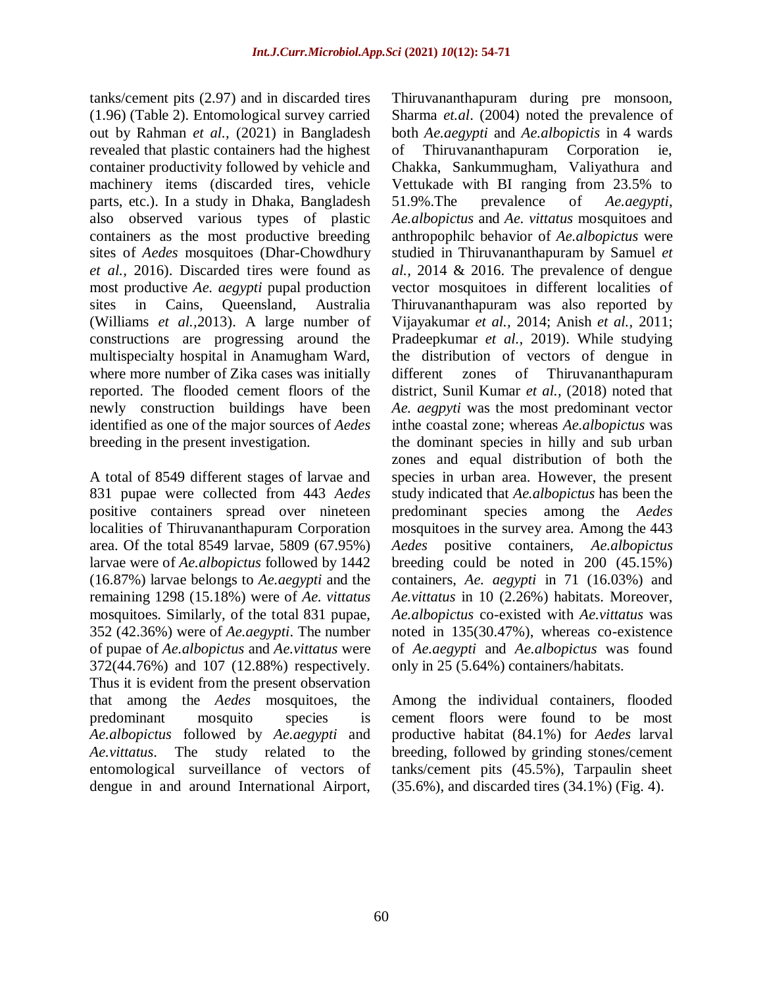tanks/cement pits (2.97) and in discarded tires (1.96) (Table 2). Entomological survey carried out by Rahman *et al.,* (2021) in Bangladesh revealed that plastic containers had the highest container productivity followed by vehicle and machinery items (discarded tires, vehicle parts, etc.). In a study in Dhaka, Bangladesh also observed various types of plastic containers as the most productive breeding sites of *Aedes* mosquitoes (Dhar-Chowdhury *et al.,* 2016). Discarded tires were found as most productive *Ae. aegypti* pupal production sites in Cains, Queensland, Australia (Williams *et al.,*2013). A large number of constructions are progressing around the multispecialty hospital in Anamugham Ward, where more number of Zika cases was initially reported. The flooded cement floors of the newly construction buildings have been identified as one of the major sources of *Aedes* breeding in the present investigation.

A total of 8549 different stages of larvae and 831 pupae were collected from 443 *Aedes* positive containers spread over nineteen localities of Thiruvananthapuram Corporation area. Of the total 8549 larvae, 5809 (67.95%) larvae were of *Ae.albopictus* followed by 1442 (16.87%) larvae belongs to *Ae.aegypti* and the remaining 1298 (15.18%) were of *Ae. vittatus* mosquitoes. Similarly, of the total 831 pupae, 352 (42.36%) were of *Ae.aegypti*. The number of pupae of *Ae.albopictus* and *Ae.vittatus* were 372(44.76%) and 107 (12.88%) respectively. Thus it is evident from the present observation that among the *Aedes* mosquitoes, the predominant mosquito species is *Ae.albopictus* followed by *Ae.aegypti* and *Ae.vittatus*. The study related to the entomological surveillance of vectors of dengue in and around International Airport, Thiruvananthapuram during pre monsoon, Sharma *et.al*. (2004) noted the prevalence of both *Ae.aegypti* and *Ae.albopictis* in 4 wards of Thiruvananthapuram Corporation ie, Chakka, Sankummugham, Valiyathura and Vettukade with BI ranging from 23.5% to 51.9%.The prevalence of *Ae.aegypti*, *Ae.albopictus* and *Ae. vittatus* mosquitoes and anthropophilc behavior of *Ae.albopictus* were studied in Thiruvananthapuram by Samuel *et al.,* 2014 & 2016. The prevalence of dengue vector mosquitoes in different localities of Thiruvananthapuram was also reported by Vijayakumar *et al.,* 2014; Anish *et al.,* 2011; Pradeepkumar *et al.,* 2019). While studying the distribution of vectors of dengue in different zones of Thiruvananthapuram district, Sunil Kumar *et al.,* (2018) noted that *Ae. aegpyti* was the most predominant vector inthe coastal zone; whereas *Ae.albopictus* was the dominant species in hilly and sub urban zones and equal distribution of both the species in urban area. However, the present study indicated that *Ae.albopictus* has been the predominant species among the *Aedes* mosquitoes in the survey area. Among the 443 *Aedes* positive containers, *Ae.albopictus* breeding could be noted in 200 (45.15%) containers, *Ae. aegypti* in 71 (16.03%) and *Ae.vittatus* in 10 (2.26%) habitats. Moreover, *Ae.albopictus* co-existed with *Ae.vittatus* was noted in 135(30.47%), whereas co-existence of *Ae.aegypti* and *Ae.albopictus* was found only in 25 (5.64%) containers/habitats.

Among the individual containers, flooded cement floors were found to be most productive habitat (84.1%) for *Aedes* larval breeding, followed by grinding stones/cement tanks/cement pits (45.5%), Tarpaulin sheet (35.6%), and discarded tires (34.1%) (Fig. 4).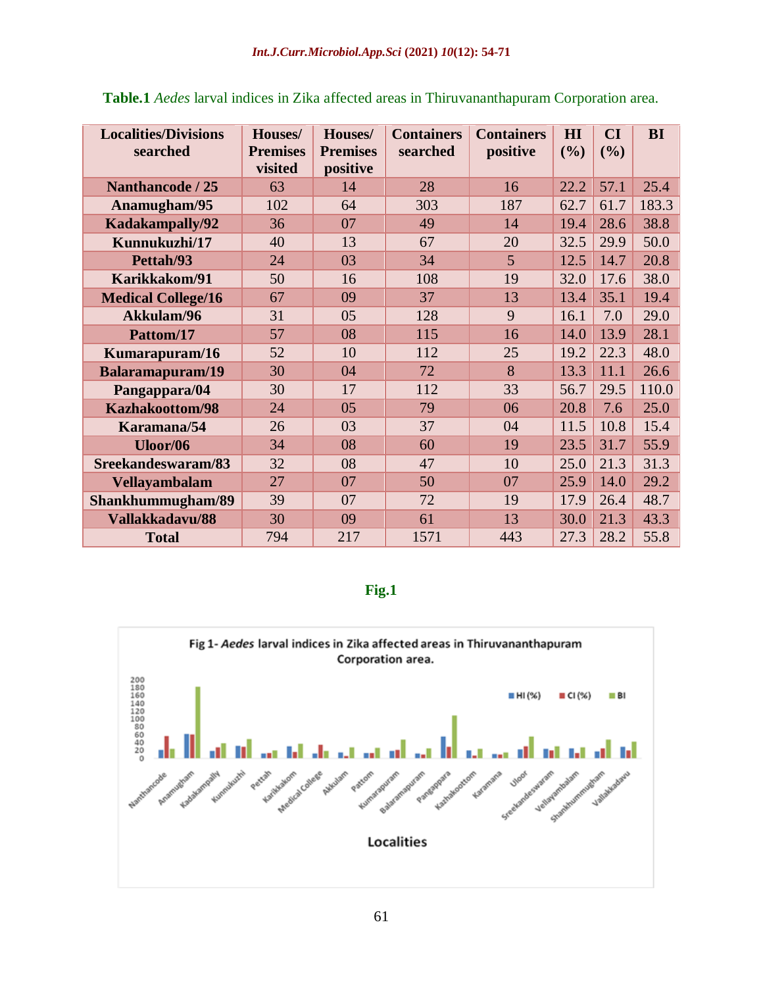| <b>Localities/Divisions</b><br>searched | Houses/<br><b>Premises</b><br>visited | Houses/<br><b>Premises</b><br>positive | <b>Containers</b><br>searched | <b>Containers</b><br>positive | H I<br>(%) | CI<br>(%) | <b>BI</b> |
|-----------------------------------------|---------------------------------------|----------------------------------------|-------------------------------|-------------------------------|------------|-----------|-----------|
| <b>Nanthancode / 25</b>                 | 63                                    | 14                                     | 28                            | 16                            | 22.2       | 57.1      | 25.4      |
| Anamugham/95                            | 102                                   | 64                                     | 303                           | 187                           | 62.7       | 61.7      | 183.3     |
| Kadakampally/92                         | 36                                    | 07                                     | 49                            | 14                            | 19.4       | 28.6      | 38.8      |
| Kunnukuzhi/17                           | 40                                    | 13                                     | 67                            | 20                            | 32.5       | 29.9      | 50.0      |
| Pettah/93                               | 24                                    | 03                                     | 34                            | 5                             | 12.5       | 14.7      | 20.8      |
| Karikkakom/91                           | 50                                    | 16                                     | 108                           | 19                            | 32.0       | 17.6      | 38.0      |
| <b>Medical College/16</b>               | 67                                    | 09                                     | 37                            | 13                            | 13.4       | 35.1      | 19.4      |
| Akkulam/96                              | 31                                    | 05                                     | 128                           | 9                             | 16.1       | 7.0       | 29.0      |
| Pattom/17                               | 57                                    | 08                                     | 115                           | 16                            | 14.0       | 13.9      | 28.1      |
| Kumarapuram/16                          | 52                                    | 10                                     | 112                           | 25                            | 19.2       | 22.3      | 48.0      |
| Balaramapuram/19                        | 30                                    | 04                                     | 72                            | 8                             | 13.3       | 11.1      | 26.6      |
| Pangappara/04                           | 30                                    | 17                                     | 112                           | 33                            | 56.7       | 29.5      | 110.0     |
| <b>Kazhakoottom/98</b>                  | 24                                    | 05                                     | 79                            | 06                            | 20.8       | 7.6       | 25.0      |
| Karamana/54                             | 26                                    | 03                                     | 37                            | 04                            | 11.5       | 10.8      | 15.4      |
| Uloor/06                                | 34                                    | 08                                     | 60                            | 19                            | 23.5       | 31.7      | 55.9      |
| Sreekandeswaram/83                      | 32                                    | 08                                     | 47                            | 10                            | 25.0       | 21.3      | 31.3      |
| <b>Vellayambalam</b>                    | 27                                    | 07                                     | 50                            | 07                            | 25.9       | 14.0      | 29.2      |
| Shankhummugham/89                       | 39                                    | 07                                     | 72                            | 19                            | 17.9       | 26.4      | 48.7      |
| Vallakkadavu/88                         | 30                                    | 09                                     | 61                            | 13                            | 30.0       | 21.3      | 43.3      |
| <b>Total</b>                            | 794                                   | 217                                    | 1571                          | 443                           | 27.3       | 28.2      | 55.8      |

**Table.1** *Aedes* larval indices in Zika affected areas in Thiruvananthapuram Corporation area.

#### **Fig.1**

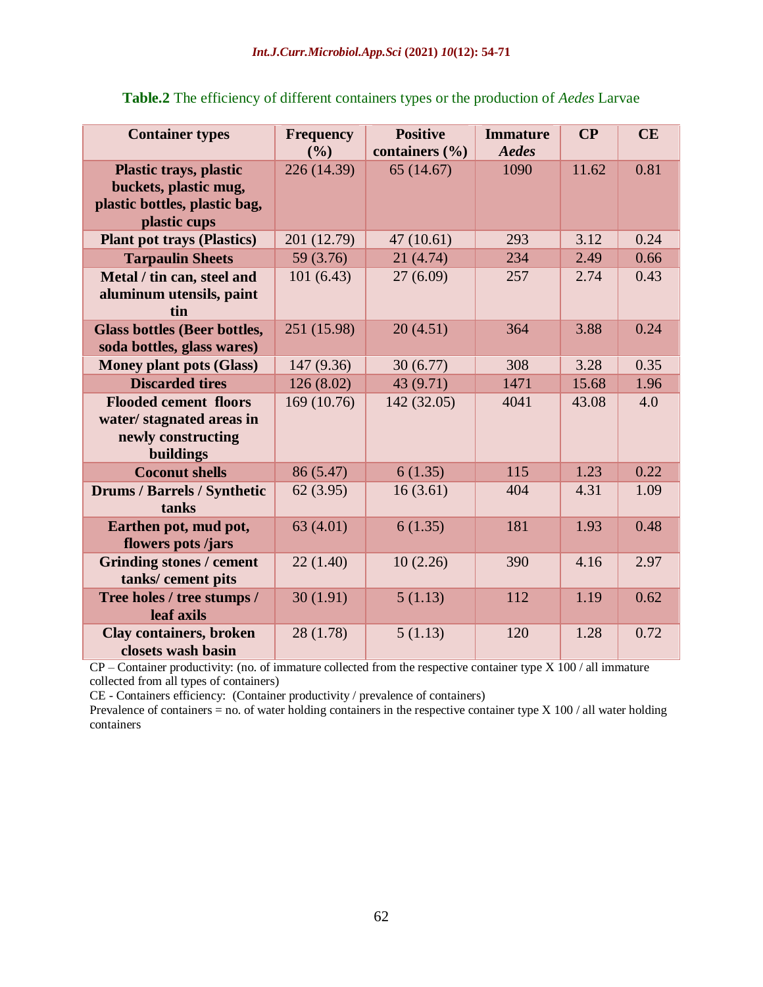| <b>Container types</b>                                                                      | <b>Frequency</b><br>(9/0) | <b>Positive</b><br>containers (%) | <b>Immature</b><br>Aedes | $\overline{\mathbf{C}}\mathbf{P}$ | CE   |
|---------------------------------------------------------------------------------------------|---------------------------|-----------------------------------|--------------------------|-----------------------------------|------|
| <b>Plastic trays, plastic</b><br>buckets, plastic mug,<br>plastic bottles, plastic bag,     | 226 (14.39)               | 65(14.67)                         | 1090                     | 11.62                             | 0.81 |
| plastic cups                                                                                |                           |                                   |                          |                                   |      |
| <b>Plant pot trays (Plastics)</b>                                                           | 201 (12.79)               | 47(10.61)                         | 293                      | 3.12                              | 0.24 |
| <b>Tarpaulin Sheets</b>                                                                     | 59 (3.76)                 | 21(4.74)                          | 234                      | 2.49                              | 0.66 |
| Metal / tin can, steel and<br>aluminum utensils, paint<br>tin                               | 101(6.43)                 | 27(6.09)                          | 257                      | 2.74                              | 0.43 |
| <b>Glass bottles (Beer bottles,</b><br>soda bottles, glass wares)                           | 251 (15.98)               | 20(4.51)                          | 364                      | 3.88                              | 0.24 |
| <b>Money plant pots (Glass)</b>                                                             | 147 (9.36)                | 30(6.77)                          | 308                      | 3.28                              | 0.35 |
| <b>Discarded tires</b>                                                                      | 126(8.02)                 | 43 (9.71)                         | 1471                     | 15.68                             | 1.96 |
| <b>Flooded cement floors</b><br>water/stagnated areas in<br>newly constructing<br>buildings | 169 (10.76)               | 142 (32.05)                       | 4041                     | 43.08                             | 4.0  |
| <b>Coconut shells</b>                                                                       | 86 (5.47)                 | 6(1.35)                           | 115                      | 1.23                              | 0.22 |
| <b>Drums / Barrels / Synthetic</b><br>tanks                                                 | 62(3.95)                  | 16(3.61)                          | 404                      | 4.31                              | 1.09 |
| Earthen pot, mud pot,<br>flowers pots/jars                                                  | 63(4.01)                  | 6(1.35)                           | 181                      | 1.93                              | 0.48 |
| <b>Grinding stones / cement</b><br>tanks/cement pits                                        | 22(1.40)                  | 10(2.26)                          | 390                      | 4.16                              | 2.97 |
| Tree holes / tree stumps /<br>leaf axils                                                    | 30(1.91)                  | 5(1.13)                           | 112                      | 1.19                              | 0.62 |
| <b>Clay containers, broken</b><br>closets wash basin                                        | 28 (1.78)                 | 5(1.13)                           | 120                      | 1.28                              | 0.72 |

**Table.2** The efficiency of different containers types or the production of *Aedes* Larvae

CP – Container productivity: (no. of immature collected from the respective container type X 100 / all immature collected from all types of containers)

CE - Containers efficiency: (Container productivity / prevalence of containers)

Prevalence of containers = no. of water holding containers in the respective container type  $X$  100 / all water holding containers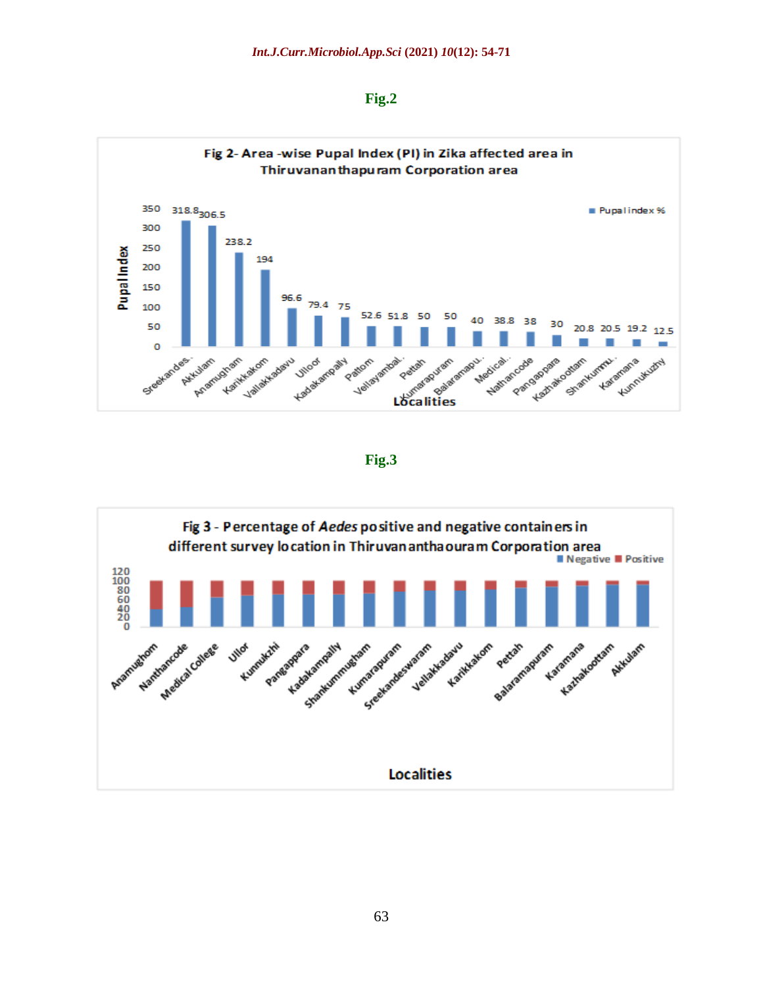| ×<br>٧ |
|--------|
|--------|



**Fig.3**

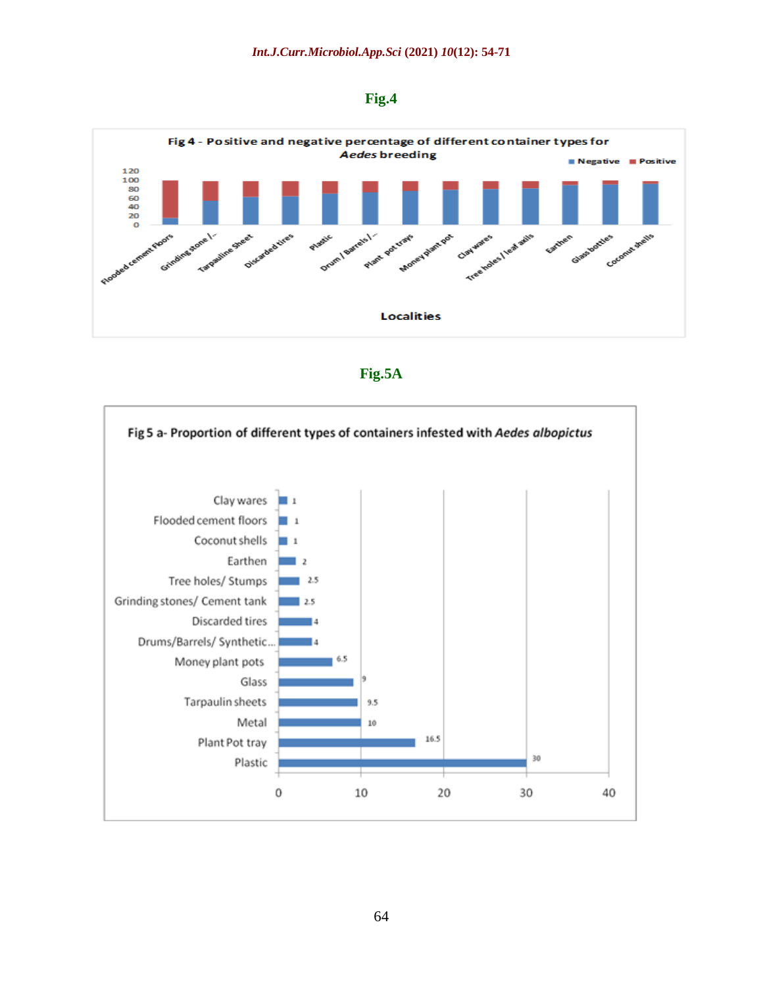## **Fig.4**



#### **Fig.5A**

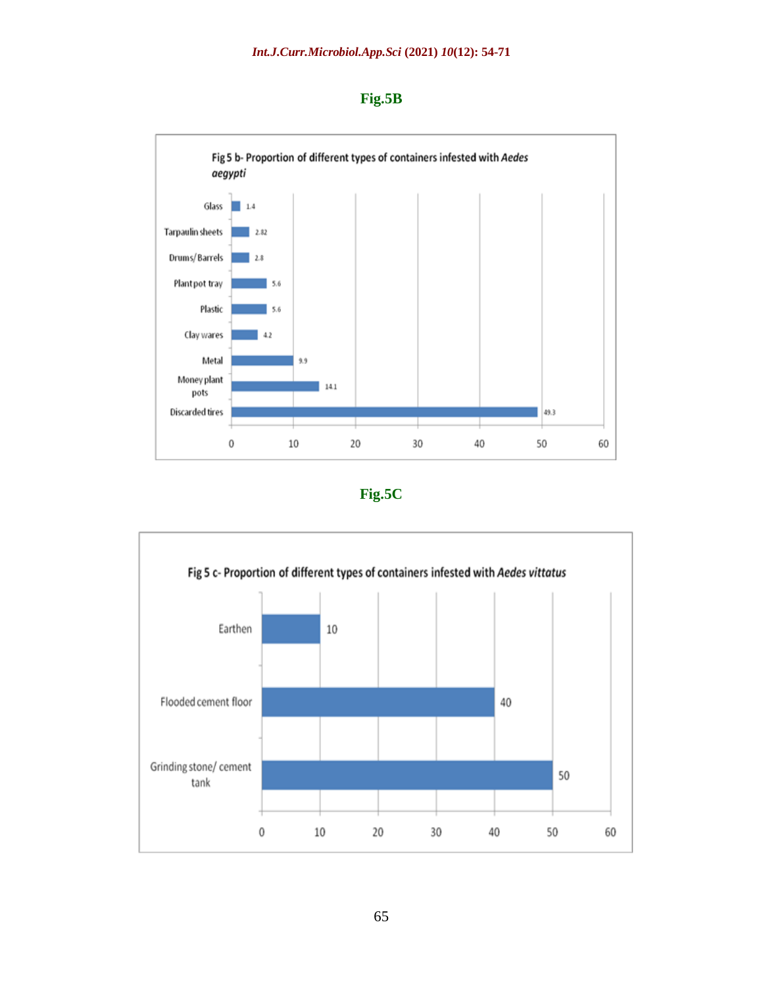





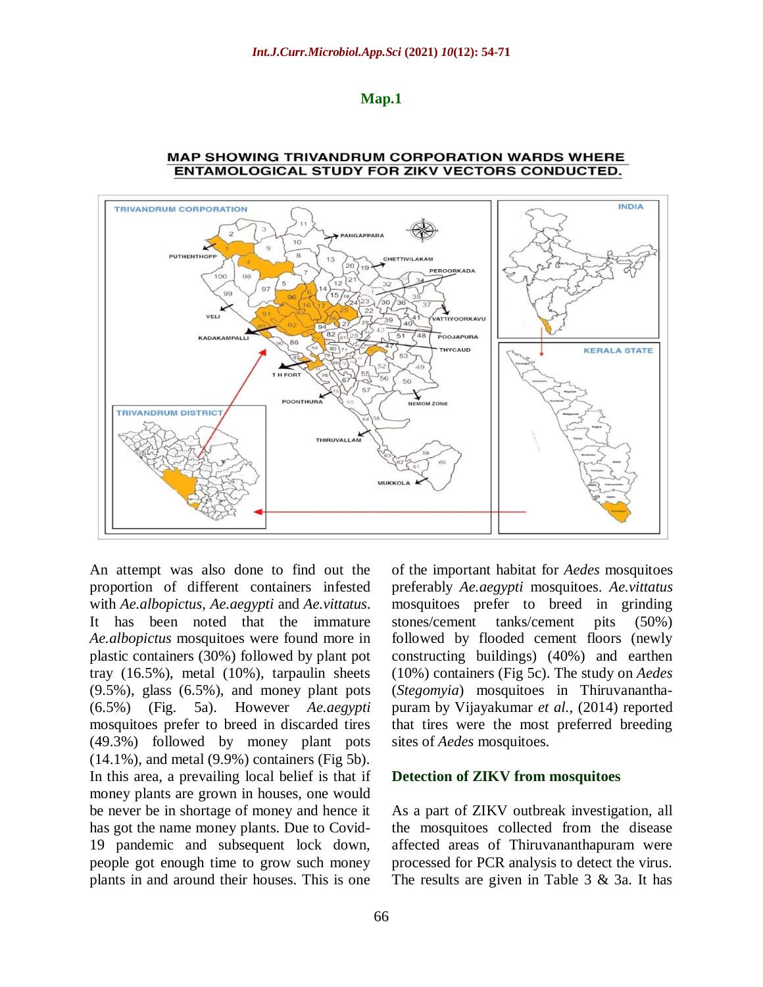**Map.1**



#### **MAP SHOWING TRIVANDRUM CORPORATION WARDS WHERE ENTAMOLOGICAL STUDY FOR ZIKV VECTORS CONDUCTED.**

An attempt was also done to find out the proportion of different containers infested with *Ae.albopictus*, *Ae.aegypti* and *Ae.vittatus*. It has been noted that the immature *Ae.albopictus* mosquitoes were found more in plastic containers (30%) followed by plant pot tray (16.5%), metal (10%), tarpaulin sheets (9.5%), glass (6.5%), and money plant pots (6.5%) (Fig. 5a). However *Ae.aegypti* mosquitoes prefer to breed in discarded tires (49.3%) followed by money plant pots (14.1%), and metal (9.9%) containers (Fig 5b). In this area, a prevailing local belief is that if money plants are grown in houses, one would be never be in shortage of money and hence it has got the name money plants. Due to Covid-19 pandemic and subsequent lock down, people got enough time to grow such money plants in and around their houses. This is one

of the important habitat for *Aedes* mosquitoes preferably *Ae.aegypti* mosquitoes. *Ae.vittatus* mosquitoes prefer to breed in grinding stones/cement tanks/cement pits (50%) followed by flooded cement floors (newly constructing buildings) (40%) and earthen (10%) containers (Fig 5c). The study on *Aedes*  (*Stegomyia*) mosquitoes in Thiruvananthapuram by Vijayakumar *et al.,* (2014) reported that tires were the most preferred breeding sites of *Aedes* mosquitoes.

#### **Detection of ZIKV from mosquitoes**

As a part of ZIKV outbreak investigation, all the mosquitoes collected from the disease affected areas of Thiruvananthapuram were processed for PCR analysis to detect the virus. The results are given in Table 3 & 3a. It has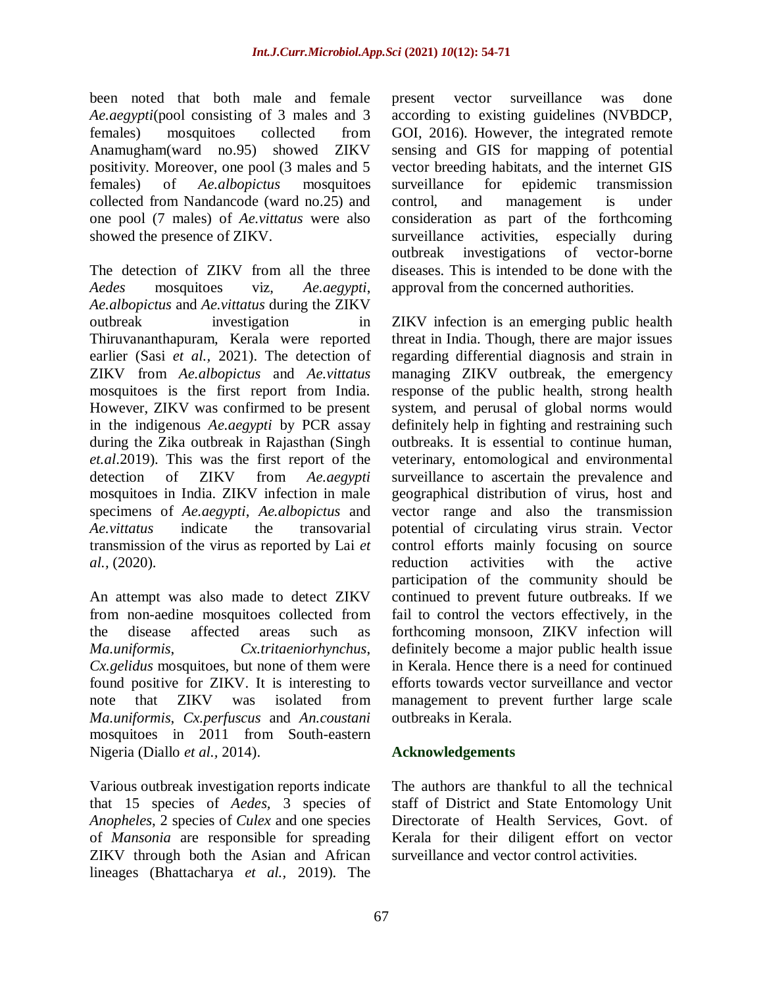been noted that both male and female *Ae.aegypti*(pool consisting of 3 males and 3 females) mosquitoes collected from Anamugham(ward no.95) showed ZIKV positivity. Moreover, one pool (3 males and 5 females) of *Ae.albopictus* mosquitoes collected from Nandancode (ward no.25) and one pool (7 males) of *Ae.vittatus* were also showed the presence of ZIKV.

The detection of ZIKV from all the three *Aedes* mosquitoes viz, *Ae.aegypti*, *Ae.albopictus* and *Ae.vittatus* during the ZIKV outbreak investigation in Thiruvananthapuram, Kerala were reported earlier (Sasi *et al.,* 2021). The detection of ZIKV from *Ae.albopictus* and *Ae.vittatus* mosquitoes is the first report from India. However, ZIKV was confirmed to be present in the indigenous *Ae.aegypti* by PCR assay during the Zika outbreak in Rajasthan (Singh *et.al*.2019). This was the first report of the detection of ZIKV from *Ae.aegypti* mosquitoes in India. ZIKV infection in male specimens of *Ae.aegypti*, *Ae.albopictus* and *Ae.vittatus* indicate the transovarial transmission of the virus as reported by Lai *et al.,* (2020).

An attempt was also made to detect ZIKV from non-aedine mosquitoes collected from the disease affected areas such as *Ma.uniformis*, *Cx.tritaeniorhynchus*, *Cx.gelidus* mosquitoes, but none of them were found positive for ZIKV. It is interesting to note that ZIKV was isolated from *Ma.uniformis*, *Cx.perfuscus* and *An.coustani* mosquitoes in 2011 from South-eastern Nigeria (Diallo *et al.,* 2014).

Various outbreak investigation reports indicate that 15 species of *Aedes,* 3 species of *Anopheles*, 2 species of *Culex* and one species of *Mansonia* are responsible for spreading ZIKV through both the Asian and African lineages (Bhattacharya *et al.,* 2019). The

present vector surveillance was done according to existing guidelines (NVBDCP, GOI, 2016). However, the integrated remote sensing and GIS for mapping of potential vector breeding habitats, and the internet GIS surveillance for epidemic transmission control, and management is under consideration as part of the forthcoming surveillance activities, especially during outbreak investigations of vector-borne diseases. This is intended to be done with the approval from the concerned authorities.

ZIKV infection is an emerging public health threat in India. Though, there are major issues regarding differential diagnosis and strain in managing ZIKV outbreak, the emergency response of the public health, strong health system, and perusal of global norms would definitely help in fighting and restraining such outbreaks. It is essential to continue human, veterinary, entomological and environmental surveillance to ascertain the prevalence and geographical distribution of virus, host and vector range and also the transmission potential of circulating virus strain. Vector control efforts mainly focusing on source reduction activities with the active participation of the community should be continued to prevent future outbreaks. If we fail to control the vectors effectively, in the forthcoming monsoon, ZIKV infection will definitely become a major public health issue in Kerala. Hence there is a need for continued efforts towards vector surveillance and vector management to prevent further large scale outbreaks in Kerala.

## **Acknowledgements**

The authors are thankful to all the technical staff of District and State Entomology Unit Directorate of Health Services, Govt. of Kerala for their diligent effort on vector surveillance and vector control activities.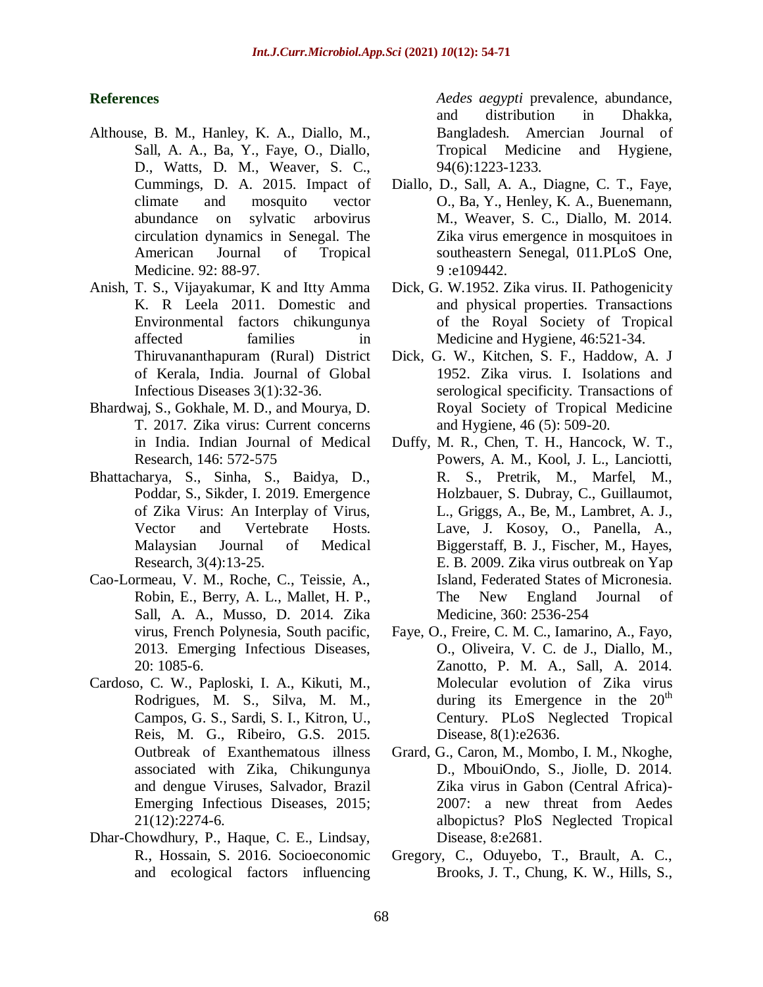## **References**

- Althouse, B. M., Hanley, K. A., Diallo, M., Sall, A. A., Ba, Y., Faye, O., Diallo, D., Watts, D. M., Weaver, S. C., Cummings, D. A. 2015. Impact of climate and mosquito vector abundance on sylvatic arbovirus circulation dynamics in Senegal. The American Journal of Tropical Medicine. 92: 88-97.
- Anish, T. S., Vijayakumar, K and Itty Amma K. R Leela 2011. Domestic and Environmental factors chikungunya affected families in Thiruvananthapuram (Rural) District of Kerala, India. Journal of Global Infectious Diseases 3(1):32-36.
- Bhardwaj, S., Gokhale, M. D., and Mourya, D. T. 2017. Zika virus: Current concerns in India. Indian Journal of Medical Research, 146: 572-575
- Bhattacharya, S., Sinha, S., Baidya, D., Poddar, S., Sikder, I. 2019. Emergence of Zika Virus: An Interplay of Virus, Vector and Vertebrate Hosts. Malaysian Journal of Medical Research, 3(4):13-25.
- Cao-Lormeau, V. M., Roche, C., Teissie, A., Robin, E., Berry, A. L., Mallet, H. P., Sall, A. A., Musso, D. 2014. Zika virus, French Polynesia, South pacific, 2013. Emerging Infectious Diseases, 20: 1085-6.
- Cardoso, C. W., Paploski, I. A., Kikuti, M., Rodrigues, M. S., Silva, M. M., Campos, G. S., Sardi, S. I., Kitron, U., Reis, M. G., Ribeiro, G.S. 2015. Outbreak of Exanthematous illness associated with Zika, Chikungunya and dengue Viruses, Salvador, Brazil Emerging Infectious Diseases, 2015; 21(12):2274-6.
- Dhar-Chowdhury, P., Haque, C. E., Lindsay, R., Hossain, S. 2016. Socioeconomic and ecological factors influencing

*Aedes aegypti* prevalence, abundance, and distribution in Dhakka, Bangladesh. Amercian Journal of Tropical Medicine and Hygiene, 94(6):1223-1233.

- Diallo, D., Sall, A. A., Diagne, C. T., Faye, O., Ba, Y., Henley, K. A., Buenemann, M., Weaver, S. C., Diallo, M. 2014. Zika virus emergence in mosquitoes in southeastern Senegal, 011.PLoS One,  $9:109442.$
- Dick, G. W.1952. Zika virus. II. Pathogenicity and physical properties. Transactions of the Royal Society of Tropical Medicine and Hygiene, 46:521-34.
- Dick, G. W., Kitchen, S. F., Haddow, A. J 1952. Zika virus. I. Isolations and serological specificity. Transactions of Royal Society of Tropical Medicine and Hygiene, 46 (5): 509-20.
- Duffy, M. R., Chen, T. H., Hancock, W. T., Powers, A. M., Kool, J. L., Lanciotti, R. S., Pretrik, M., Marfel, M., Holzbauer, S. Dubray, C., Guillaumot, L., Griggs, A., Be, M., Lambret, A. J., Lave, J. Kosoy, O., Panella, A., Biggerstaff, B. J., Fischer, M., Hayes, E. B. 2009. Zika virus outbreak on Yap Island, Federated States of Micronesia. The New England Journal of Medicine, 360: 2536-254
- Faye, O., Freire, C. M. C., Iamarino, A., Fayo, O., Oliveira, V. C. de J., Diallo, M., Zanotto, P. M. A., Sall, A. 2014. Molecular evolution of Zika virus during its Emergence in the  $20<sup>th</sup>$ Century. PLoS Neglected Tropical Disease, 8(1):e2636.
- Grard, G., Caron, M., Mombo, I. M., Nkoghe, D., MbouiOndo, S., Jiolle, D. 2014. Zika virus in Gabon (Central Africa)- 2007: a new threat from Aedes albopictus? PloS Neglected Tropical Disease, 8:e2681.
- Gregory, C., Oduyebo, T., Brault, A. C., Brooks, J. T., Chung, K. W., Hills, S.,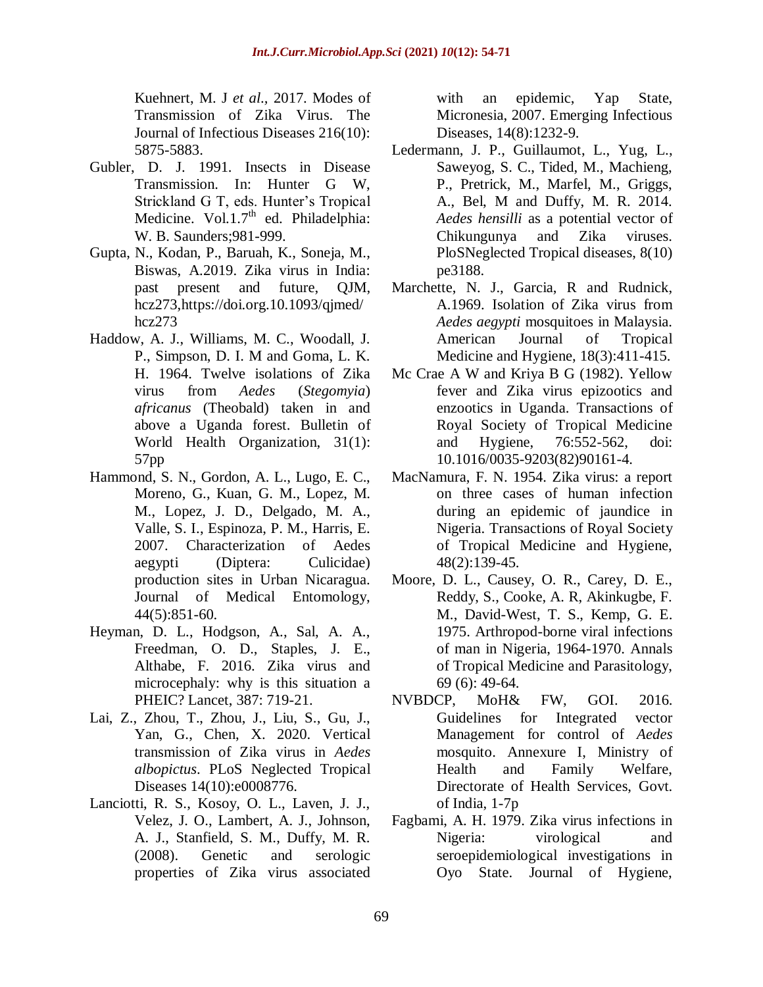Kuehnert, M. J *et al*.*,* 2017. Modes of Transmission of Zika Virus. The Journal of Infectious Diseases 216(10): 5875-5883.

- Gubler, D. J. 1991. Insects in Disease Transmission. In: Hunter G W, Strickland G T, eds. Hunter's Tropical Medicine. Vol.1.7<sup>th</sup> ed. Philadelphia: W. B. Saunders;981-999.
- Gupta, N., Kodan, P., Baruah, K., Soneja, M., Biswas, A.2019. Zika virus in India: past present and future, QJM, hcz273,https://doi.org.10.1093/qjmed/ hcz273
- Haddow, A. J., Williams, M. C., Woodall, J. P., Simpson, D. I. M and Goma, L. K. H. 1964. Twelve isolations of Zika virus from *Aedes* (*Stegomyia*) *africanus* (Theobald) taken in and above a Uganda forest. Bulletin of World Health Organization, 31(1): 57pp
- Hammond, S. N., Gordon, A. L., Lugo, E. C., Moreno, G., Kuan, G. M., Lopez, M. M., Lopez, J. D., Delgado, M. A., Valle, S. I., Espinoza, P. M., Harris, E. 2007. Characterization of Aedes aegypti (Diptera: Culicidae) production sites in Urban Nicaragua. Journal of Medical Entomology, 44(5):851-60.
- Heyman, D. L., Hodgson, A., Sal, A. A., Freedman, O. D., Staples, J. E., Althabe, F. 2016. Zika virus and microcephaly: why is this situation a PHEIC? Lancet, 387: 719-21.
- Lai, Z., Zhou, T., Zhou, J., Liu, S., Gu, J., Yan, G., Chen, X. 2020. Vertical transmission of Zika virus in *Aedes albopictus*. PLoS Neglected Tropical Diseases 14(10):e0008776.
- Lanciotti, R. S., Kosoy, O. L., Laven, J. J., Velez, J. O., Lambert, A. J., Johnson, A. J., Stanfield, S. M., Duffy, M. R. (2008). Genetic and serologic properties of Zika virus associated

with an epidemic, Yap State, Micronesia, 2007. Emerging Infectious Diseases, 14(8):1232-9.

- Ledermann, J. P., Guillaumot, L., Yug, L., Saweyog, S. C., Tided, M., Machieng, P., Pretrick, M., Marfel, M., Griggs, A., Bel, M and Duffy, M. R. 2014. *Aedes hensilli* as a potential vector of Chikungunya and Zika viruses. PloSNeglected Tropical diseases, 8(10) pe3188.
- Marchette, N. J., Garcia, R and Rudnick, A.1969. Isolation of Zika virus from *Aedes aegypti* mosquitoes in Malaysia. American Journal of Tropical Medicine and Hygiene, 18(3):411-415.
- Mc Crae A W and Kriya B G (1982). Yellow fever and Zika virus epizootics and enzootics in Uganda. Transactions of Royal Society of Tropical Medicine and Hygiene, 76:552-562, doi: 10.1016/0035-9203(82)90161-4.
- MacNamura, F. N. 1954. Zika virus: a report on three cases of human infection during an epidemic of jaundice in Nigeria. Transactions of Royal Society of Tropical Medicine and Hygiene, 48(2):139-45.
- Moore, D. L., Causey, O. R., Carey, D. E., Reddy, S., Cooke, A. R, Akinkugbe, F. M., David-West, T. S., Kemp, G. E. 1975. Arthropod-borne viral infections of man in Nigeria, 1964-1970. Annals of Tropical Medicine and Parasitology, 69 (6): 49-64.
- NVBDCP, MoH& FW, GOI. 2016. Guidelines for Integrated vector Management for control of *Aedes* mosquito. Annexure I, Ministry of Health and Family Welfare, Directorate of Health Services, Govt. of India, 1-7p
- Fagbami, A. H. 1979. Zika virus infections in Nigeria: virological and seroepidemiological investigations in Oyo State. Journal of Hygiene,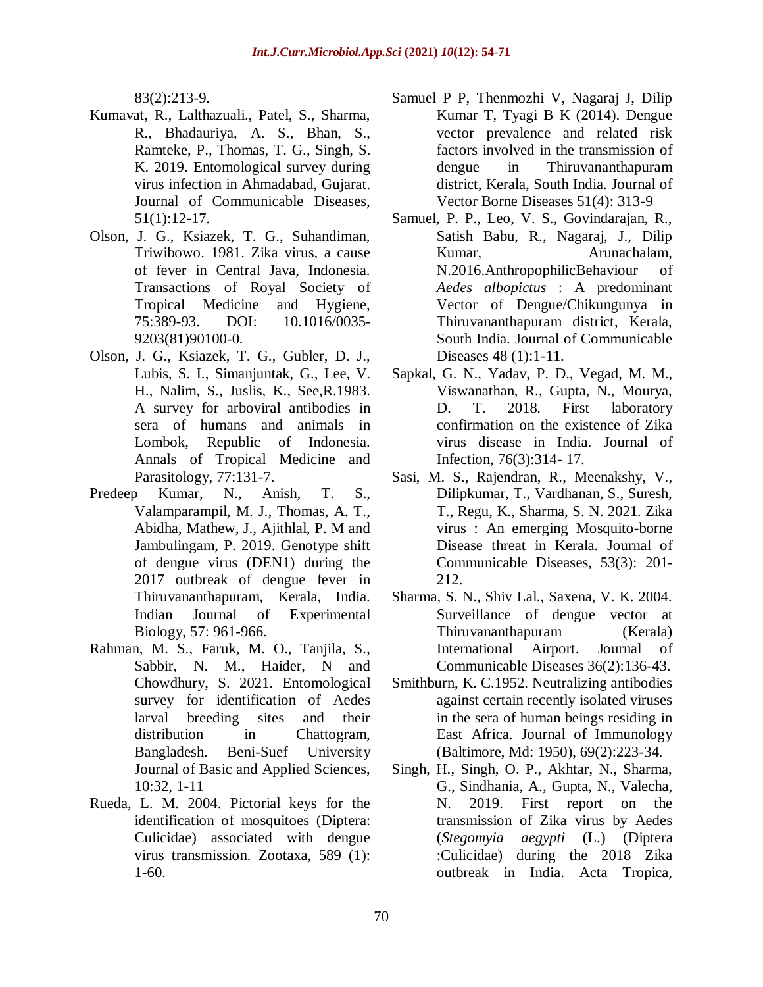83(2):213-9.

- Kumavat, R., Lalthazuali., Patel, S., Sharma, R., Bhadauriya, A. S., Bhan, S., Ramteke, P., Thomas, T. G., Singh, S. K. 2019. Entomological survey during virus infection in Ahmadabad, Gujarat. Journal of Communicable Diseases, 51(1):12-17.
- Olson, J. G., Ksiazek, T. G., Suhandiman, Triwibowo. 1981. Zika virus, a cause of fever in Central Java, Indonesia. Transactions of Royal Society of Tropical Medicine and Hygiene, 75:389-93. DOI: 10.1016/0035- 9203(81)90100-0.
- Olson, J. G., Ksiazek, T. G., Gubler, D. J., Lubis, S. I., Simanjuntak, G., Lee, V. H., Nalim, S., Juslis, K., See,R.1983. A survey for arboviral antibodies in sera of humans and animals in Lombok, Republic of Indonesia. Annals of Tropical Medicine and Parasitology, 77:131-7.
- Predeep Kumar, N., Anish, T. S., Valamparampil, M. J., Thomas, A. T., Abidha, Mathew, J., Ajithlal, P. M and Jambulingam, P. 2019. Genotype shift of dengue virus (DEN1) during the 2017 outbreak of dengue fever in Thiruvananthapuram, Kerala, India. Indian Journal of Experimental Biology, 57: 961-966.
- Rahman, M. S., Faruk, M. O., Tanjila, S., Sabbir, N. M., Haider, N and Chowdhury, S. 2021. Entomological survey for identification of Aedes larval breeding sites and their distribution in Chattogram, Bangladesh. Beni-Suef University Journal of Basic and Applied Sciences, 10:32, 1-11
- Rueda, L. M. 2004. Pictorial keys for the identification of mosquitoes (Diptera: Culicidae) associated with dengue virus transmission. Zootaxa, 589 (1): 1-60.
- Samuel P P, Thenmozhi V, Nagaraj J, Dilip Kumar T, Tyagi B K (2014). Dengue vector prevalence and related risk factors involved in the transmission of dengue in Thiruvananthapuram district, Kerala, South India. Journal of Vector Borne Diseases 51(4): 313-9
- Samuel, P. P., Leo, V. S., Govindarajan, R., Satish Babu, R., Nagaraj, J., Dilip Kumar, Arunachalam, N.2016.AnthropophilicBehaviour of *Aedes albopictus* : A predominant Vector of Dengue/Chikungunya in Thiruvananthapuram district, Kerala, South India. Journal of Communicable Diseases 48 (1):1-11.
- Sapkal, G. N., Yadav, P. D., Vegad, M. M., Viswanathan, R., Gupta, N., Mourya, D. T. 2018. First laboratory confirmation on the existence of Zika virus disease in India. Journal of Infection, 76(3):314- 17.
- Sasi, M. S., Rajendran, R., Meenakshy, V., Dilipkumar, T., Vardhanan, S., Suresh, T., Regu, K., Sharma, S. N. 2021. Zika virus : An emerging Mosquito-borne Disease threat in Kerala. Journal of Communicable Diseases, 53(3): 201- 212.
- Sharma, S. N., Shiv Lal., Saxena, V. K. 2004. Surveillance of dengue vector at Thiruvananthapuram (Kerala) International Airport. Journal of Communicable Diseases 36(2):136-43.
- Smithburn, K. C.1952. Neutralizing antibodies against certain recently isolated viruses in the sera of human beings residing in East Africa. Journal of Immunology (Baltimore, Md: 1950), 69(2):223-34.
- Singh, H., Singh, O. P., Akhtar, N., Sharma, G., Sindhania, A., Gupta, N., Valecha, N. 2019. First report on the transmission of Zika virus by Aedes (*Stegomyia aegypti* (L.) (Diptera :Culicidae) during the 2018 Zika outbreak in India. Acta Tropica,